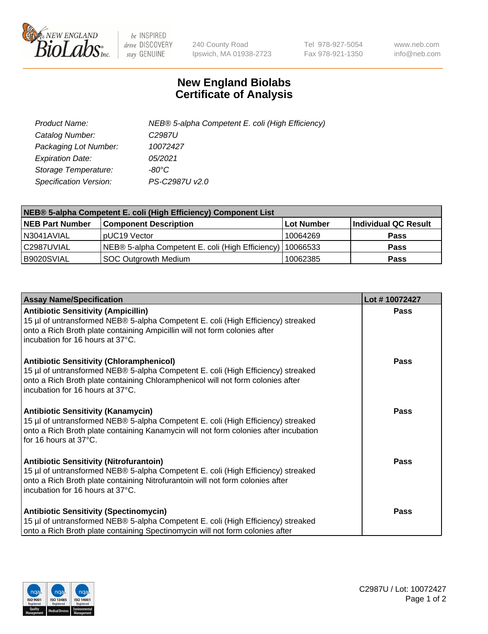

 $be$  INSPIRED drive DISCOVERY stay GENUINE

240 County Road Ipswich, MA 01938-2723 Tel 978-927-5054 Fax 978-921-1350 www.neb.com info@neb.com

## **New England Biolabs Certificate of Analysis**

| Product Name:                 | NEB® 5-alpha Competent E. coli (High Efficiency) |
|-------------------------------|--------------------------------------------------|
| Catalog Number:               | C <sub>2987</sub> U                              |
| Packaging Lot Number:         | 10072427                                         |
| <b>Expiration Date:</b>       | 05/2021                                          |
| Storage Temperature:          | -80°C                                            |
| <b>Specification Version:</b> | PS-C2987U v2.0                                   |

| NEB® 5-alpha Competent E. coli (High Efficiency) Component List |                                                  |            |                      |  |
|-----------------------------------------------------------------|--------------------------------------------------|------------|----------------------|--|
| <b>NEB Part Number</b>                                          | <b>Component Description</b>                     | Lot Number | Individual QC Result |  |
| N3041AVIAL                                                      | pUC19 Vector                                     | 10064269   | <b>Pass</b>          |  |
| C2987UVIAL                                                      | NEB® 5-alpha Competent E. coli (High Efficiency) | 10066533   | <b>Pass</b>          |  |
| B9020SVIAL                                                      | <b>SOC Outgrowth Medium</b>                      | 10062385   | <b>Pass</b>          |  |

| <b>Assay Name/Specification</b>                                                                                                                                                                                                                            | Lot #10072427 |
|------------------------------------------------------------------------------------------------------------------------------------------------------------------------------------------------------------------------------------------------------------|---------------|
| <b>Antibiotic Sensitivity (Ampicillin)</b><br>15 µl of untransformed NEB® 5-alpha Competent E. coli (High Efficiency) streaked<br>onto a Rich Broth plate containing Ampicillin will not form colonies after<br>incubation for 16 hours at 37°C.           | <b>Pass</b>   |
| <b>Antibiotic Sensitivity (Chloramphenicol)</b><br>15 µl of untransformed NEB® 5-alpha Competent E. coli (High Efficiency) streaked<br>onto a Rich Broth plate containing Chloramphenicol will not form colonies after<br>incubation for 16 hours at 37°C. | Pass          |
| Antibiotic Sensitivity (Kanamycin)<br>15 µl of untransformed NEB® 5-alpha Competent E. coli (High Efficiency) streaked<br>onto a Rich Broth plate containing Kanamycin will not form colonies after incubation<br>for 16 hours at 37°C.                    | Pass          |
| <b>Antibiotic Sensitivity (Nitrofurantoin)</b><br>15 µl of untransformed NEB® 5-alpha Competent E. coli (High Efficiency) streaked<br>onto a Rich Broth plate containing Nitrofurantoin will not form colonies after<br>incubation for 16 hours at 37°C.   | <b>Pass</b>   |
| <b>Antibiotic Sensitivity (Spectinomycin)</b><br>15 µl of untransformed NEB® 5-alpha Competent E. coli (High Efficiency) streaked<br>onto a Rich Broth plate containing Spectinomycin will not form colonies after                                         | Pass          |